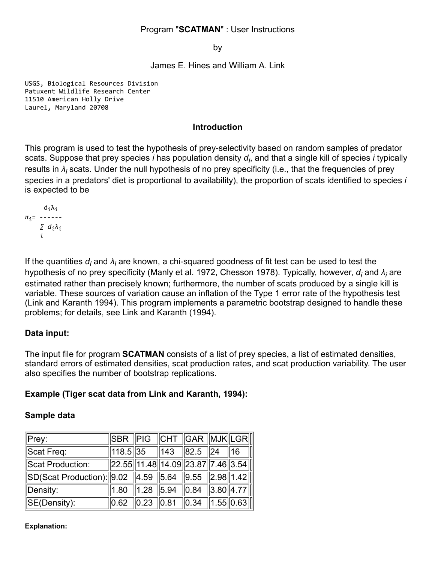## Program "**SCATMAN**" : User Instructions

by

James E. Hines and William A. Link

USGS, Biological Resources Division Patuxent Wildlife Research Center 11510 American Holly Drive Laurel, Maryland 20708

#### **Introduction**

This program is used to test the hypothesis of prey-selectivity based on random samples of predator scats. Suppose that prey species *i* has population density *d<sup>i</sup>* , and that a single kill of species *i* typically results in  $\lambda_j$  scats. Under the null hypothesis of no prey specificity (i.e., that the frequencies of prey species in a predators' diet is proportional to availability), the proportion of scats identified to species *i* is expected to be

$$
\pi_{i} = \begin{array}{c}\nd_{i}\lambda_{i} \\
\bar{\lambda}_{i} \\
\sum d_{i}\lambda_{i} \\
i\n\end{array}
$$

If the quantities  $d_i$  and  $\lambda_i$  are known, a chi-squared goodness of fit test can be used to test the hypothesis of no prey specificity (Manly et al. 1972, Chesson 1978). Typically, however, *d<sub>i</sub>* and *λ<sub>i</sub>* are estimated rather than precisely known; furthermore, the number of scats produced by a single kill is variable. These sources of variation cause an inflation of the Type 1 error rate of the hypothesis test (Link and Karanth 1994). This program implements a parametric bootstrap designed to handle these problems; for details, see Link and Karanth (1994).

# **Data input:**

The input file for program **SCATMAN** consists of a list of prey species, a list of estimated densities, standard errors of estimated densities, scat production rates, and scat production variability. The user also specifies the number of bootstrap replications.

## **Example (Tiger scat data from Link and Karanth, 1994):**

## **Sample data**

| $\Vert$ Prey:                                                                              | $\parallel$ SBR $\parallel$ PIG $\parallel$ CHT $\parallel$ GAR $\parallel$ MJK $\parallel$ LGR $\parallel$       |                                                 |  |                |
|--------------------------------------------------------------------------------------------|-------------------------------------------------------------------------------------------------------------------|-------------------------------------------------|--|----------------|
| Scat Freq:                                                                                 | ∥118.5 ∥35                                                                                                        | $\parallel$ 143 $\parallel$ 82.5 $\parallel$ 24 |  | $\parallel$ 16 |
| Scat Production:                                                                           | $\ $ 22.55 $\ $ 11.48 $\ $ 14.09 $\ $ 23.87 $\ $ 7.46 $\ $ 3.54 $\ $                                              |                                                 |  |                |
| $\ $ SD(Scat Production): $\ $ 9.02 $\ $ 4.59 $\ $ 5.64 $\ $ 9.55 $\ $ 2.98 $\ $ 1.42 $\ $ |                                                                                                                   |                                                 |  |                |
| Density:                                                                                   | 1.80   1.28   5.94   0.84   3.80  4.77                                                                            |                                                 |  |                |
| $\parallel$ SE(Density):                                                                   | $\parallel$ 0.62 $\parallel$ 0.23 $\parallel$ 0.81 $\parallel$ 0.34 $\parallel$ 1.55 $\parallel$ 0.63 $\parallel$ |                                                 |  |                |

#### **Explanation:**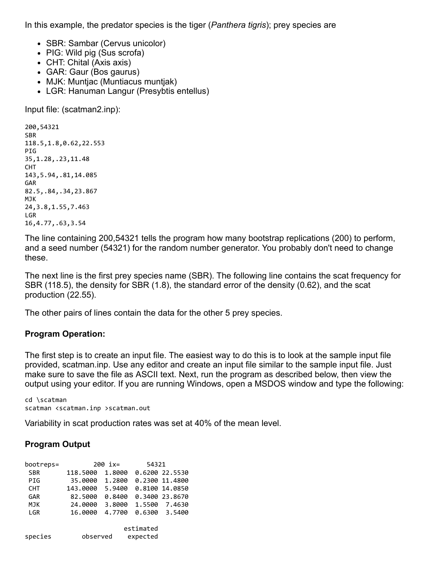In this example, the predator species is the tiger (*Panthera tigris*); prey species are

- SBR: Sambar (Cervus unicolor)
- PIG: Wild pig (Sus scrofa)
- CHT: Chital (Axis axis)
- GAR: Gaur (Bos gaurus)
- MJK: Muntjac (Muntiacus muntjak)
- LGR: Hanuman Langur (Presybtis entellus)

Input file: (scatman2.inp):

```
200,54321
SBR
118.5,1.8,0.62,22.553
PIG
35,1.28,.23,11.48
CHT
143,5.94,.81,14.085
GAR
82.5,.84,.34,23.867
MJK
24,3.8,1.55,7.463
LGR
16,4.77,.63,3.54
```
The line containing 200,54321 tells the program how many bootstrap replications (200) to perform, and a seed number (54321) for the random number generator. You probably don't need to change these.

The next line is the first prey species name (SBR). The following line contains the scat frequency for SBR (118.5), the density for SBR (1.8), the standard error of the density (0.62), and the scat production (22.55).

The other pairs of lines contain the data for the other 5 prey species.

#### **Program Operation:**

The first step is to create an input file. The easiest way to do this is to look at the sample input file provided, scatman.inp. Use any editor and create an input file similar to the sample input file. Just make sure to save the file as ASCII text. Next, run the program as described below, then view the output using your editor. If you are running Windows, open a MSDOS window and type the following:

```
cd \scatman
scatman <scatman.inp >scatman.out
```
Variability in scat production rates was set at 40% of the mean level.

## **Program Output**

| bootreps=  | 200 ix=  |        | 54321     |                |
|------------|----------|--------|-----------|----------------|
| <b>SBR</b> | 118,5000 | 1.8000 |           | 0.6200 22.5530 |
| PIG        | 35,0000  | 1.2800 |           | 0.2300 11.4800 |
| <b>CHT</b> | 143.0000 | 5.9400 |           | 0.8100 14.0850 |
| GAR        | 82.5000  | 0.8400 |           | 0.3400 23.8670 |
| <b>MJK</b> | 24,0000  | 3.8000 | 1.5500    | 7.4630         |
| LGR        | 16,0000  | 4.7700 |           | 0.6300 3.5400  |
|            |          |        | estimated |                |
| species    | observed |        | expected  |                |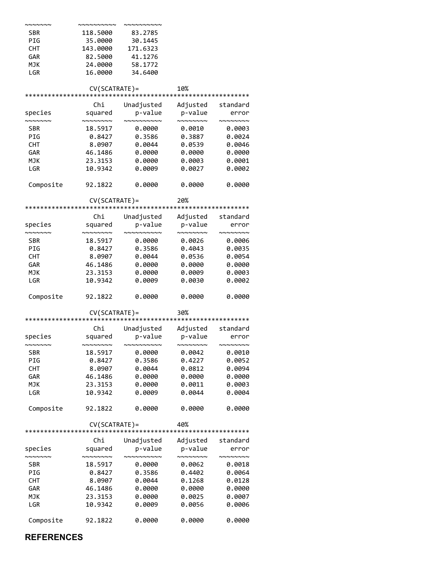| ~~~~~~~                               | vwwwwwwww                                            | ,,,,,,,,,,,,                                                                |                                                      |                                           |
|---------------------------------------|------------------------------------------------------|-----------------------------------------------------------------------------|------------------------------------------------------|-------------------------------------------|
| <b>SBR</b>                            | 118.5000                                             | 83.2785                                                                     |                                                      |                                           |
| PIG                                   |                                                      |                                                                             |                                                      |                                           |
|                                       | 35.0000                                              | 30.1445                                                                     |                                                      |                                           |
| <b>CHT</b>                            | 143.0000                                             | 171.6323                                                                    |                                                      |                                           |
| GAR                                   | 82.5000                                              | 41.1276                                                                     |                                                      |                                           |
| <b>MJK</b>                            | 24.0000                                              | 58.1772                                                                     |                                                      |                                           |
| LGR                                   | 16.0000                                              | 34.6400                                                                     |                                                      |                                           |
|                                       | CV(SCATRATE)=                                        |                                                                             | 10%                                                  |                                           |
|                                       |                                                      |                                                                             |                                                      |                                           |
|                                       | Chi                                                  | Unadjusted                                                                  | Adjusted                                             | standard                                  |
| species                               | squared                                              |                                                                             | p-value p-value                                      | error                                     |
| $\sim\sim\sim\sim\sim\sim$            | $\sim$ $\sim$ $\sim$ $\sim$ $\sim$ $\sim$            | wwwwwwww                                                                    | $\sim\sim\sim\sim\sim\sim\sim$                       | <b>NNNNNNN</b>                            |
| <b>SBR</b>                            | 18.5917                                              | 0.0000                                                                      | 0.0010                                               | 0.0003                                    |
| PIG                                   | 0.8427                                               | 0.3586                                                                      | 0.3887                                               | 0.0024                                    |
| <b>CHT</b>                            | 8.0907                                               | 0.0044                                                                      | 0.0539                                               | 0.0046                                    |
|                                       |                                                      |                                                                             |                                                      |                                           |
| GAR                                   | 46.1486                                              | 0.0000                                                                      | 0.0000                                               | 0.0000                                    |
| <b>MJK</b>                            | 23.3153                                              | 0.0000                                                                      | 0.0003                                               | 0.0001                                    |
| LGR                                   | 10.9342                                              | 0.0009                                                                      | 0.0027                                               | 0.0002                                    |
| Composite                             | 92.1822                                              | 0.0000                                                                      | 0.0000                                               | 0.0000                                    |
|                                       | CV(SCATRATE)=                                        |                                                                             | 20%                                                  |                                           |
|                                       |                                                      |                                                                             |                                                      |                                           |
|                                       | Chi                                                  | Unadjusted Adjusted standard                                                |                                                      |                                           |
| species<br>$\sim\sim\sim\sim\sim\sim$ | squared<br>$\sim$ $\sim$ $\sim$ $\sim$ $\sim$ $\sim$ | p-value<br>$\sim$ $\sim$ $\sim$ $\sim$ $\sim$ $\sim$ $\sim$                 | p-value<br>$\sim$ $\sim$ $\sim$ $\sim$ $\sim$ $\sim$ | error<br><b>NNNNNNN</b>                   |
| <b>SBR</b>                            | 18.5917                                              | 0.0000                                                                      | 0.0026                                               | 0.0006                                    |
| PIG                                   | 0.8427                                               | 0.3586                                                                      | 0.4043                                               | 0.0035                                    |
|                                       |                                                      |                                                                             |                                                      |                                           |
| <b>CHT</b>                            | 8.0907                                               | 0.0044                                                                      | 0.0536                                               | 0.0054                                    |
| <b>GAR</b>                            | 46.1486                                              | 0.0000                                                                      | 0.0000                                               | 0.0000                                    |
| <b>MJK</b>                            | 23.3153                                              | 0.0000                                                                      | 0.0009                                               | 0.0003                                    |
| LGR                                   | 10.9342                                              | 0.0009                                                                      | 0.0030                                               | 0.0002                                    |
| Composite                             | 92.1822                                              | 0.0000                                                                      | 0.0000                                               | 0.0000                                    |
|                                       | CV(SCATRATE)=                                        |                                                                             | 30%                                                  |                                           |
|                                       |                                                      |                                                                             |                                                      |                                           |
|                                       | Chi                                                  | Unadjusted Adjusted standard                                                |                                                      |                                           |
| species                               | squared                                              | p-value                                                                     | p-value                                              | error                                     |
| NNNNNNN                               | ~~~~~~~                                              | ~~~~~~~~~~                                                                  | $\sim$ $\sim$ $\sim$ $\sim$ $\sim$ $\sim$            | $\sim$ $\sim$ $\sim$ $\sim$ $\sim$ $\sim$ |
| <b>SBR</b>                            | 18.5917                                              | 0.0000                                                                      | 0.0042                                               | 0.0010                                    |
| PIG                                   | 0.8427                                               | 0.3586                                                                      | 0.4227                                               | 0.0052                                    |
| <b>CHT</b>                            | 8.0907                                               | 0.0044                                                                      | 0.0812                                               | 0.0094                                    |
|                                       |                                                      |                                                                             |                                                      |                                           |
| GAR                                   | 46.1486                                              | 0.0000                                                                      | 0.0000                                               | 0.0000                                    |
| <b>MJK</b>                            | 23.3153                                              | 0.0000                                                                      | 0.0011                                               | 0.0003                                    |
| LGR                                   | 10.9342                                              | 0.0009                                                                      | 0.0044                                               | 0.0004                                    |
| Composite                             | 92.1822                                              | 0.0000                                                                      | 0.0000                                               | 0.0000                                    |
|                                       | CV(SCATRATE)=                                        |                                                                             | 40%                                                  |                                           |
|                                       | Chi                                                  |                                                                             |                                                      |                                           |
|                                       |                                                      | Unadjusted Adjusted standard                                                |                                                      |                                           |
| species<br>NNNNNNN                    | $\sim$ $\sim$ $\sim$ $\sim$ $\sim$ $\sim$            | squared p-value p-value<br>$\sim$ $\sim$ $\sim$ $\sim$ $\sim$ $\sim$ $\sim$ | $\sim\sim\sim\sim\sim\sim\sim$                       | error<br><b>NNNNNNNN</b>                  |
| <b>SBR</b>                            | 18.5917                                              | 0.0000                                                                      | 0.0062                                               | 0.0018                                    |
| PIG                                   | 0.8427                                               | 0.3586                                                                      | 0.4402                                               | 0.0064                                    |
| CHT                                   | 8.0907                                               |                                                                             | $0.0044$ $0.1268$                                    | 0.0128                                    |
|                                       |                                                      |                                                                             |                                                      |                                           |
| GAR                                   | 46.1486                                              | 0.0000                                                                      | 0.0000                                               | 0.0000                                    |
| <b>MJK</b>                            | 23.3153                                              | 0.0000                                                                      | 0.0025                                               | 0.0007                                    |
| LGR                                   | 10.9342                                              | 0.0009                                                                      | 0.0056                                               | 0.0006                                    |
| Composite                             | 92.1822                                              | 0.0000                                                                      | 0.0000                                               | 0.0000                                    |

**REFERENCES**